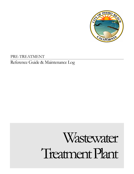

PRE-TREATMENT Reference Guide & Maintenance Log

# Wastewater Treatment Plant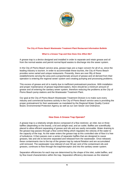

#### **The City of Pismo Beach Wastewater Treatment Plant Restaurant Information Bulletin**

#### **What Is a Grease Trap and How Does One Affect Me?**

A grease trap is a device designed and installed in order to separate and retain grease and oil from the normal wastes and permit normal liquid wastes to discharge into the sewer system.

In the City of Pismo Beach service area, grease traps are a major concern for all of us, since the leading industry is tourism. In order to accommodate these tourists, the City of Pismo Beach provides some varied and unique restaurants. Presently, there are over fifty of these establishments serving the area and a proportionate amount of grease and oil derived from their operation is entering the regional sewer system and creating pumping and processing problems.

This excess of grease and oil is mainly due to inefficient pretreatment practices. With installation and proper maintenance of grease traps/interceptors, there should be a minimum amount of grease and oil entering the sanitary sewer system, therefore reducing the problems at the City of Pismo Beach pump stations and the Wastewater Treatment Plant.

Our goal at the City of Pismo Beach Wastewater Treatment Division is to make sure every industry and commercial business activity in the City of Pismo Beach service area is providing the proper pretreatment for their wastewater as mandated by the Regional Water Quality Control Board, Environmental Protection Agency as well as our own Sewer Use Ordinance.

### **How Does A Grease Trap Operate?**

A grease trap is a relatively simple device composed of a flow restrictor, an inlet, two or three baffles (depending on the brand), a lid and airtight seal, and an outlet. Baffles are scientifically placed to allow efficient separating of grease and oils and are easily removable. Water draining to the grease trap passes through a flow control fitting which regulates the velocity of the water to the capacity of the trap. As the water enters the grease trap at this controlled rate of flow it is free of turbulence. It then passes over a series of separator baffles that are designed to cause greases, fats and oils to become separated and released from the wastewater. Once released, these contaminants rise to the top of the grease trap by natural flotation and are accumulated until removed. The wastewater now relieved of over 90 per cent of the contaminant oils and greases, continues to flow through the trap/interceptor and into the sanitary sewer system.

Separation efficiencies for each trap are determined by the shape of the inlet, outlet baffles, and by flow travel characteristics within the trap. Separation efficiency decreases as the retained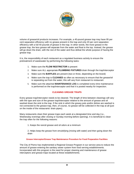

volume of grease/oil products increases. For example, a 40-pound grease trap may have 95 per cent separation efficiency with no grease present in the trap and only 20 per cent separation efficiency with a full 40 pounds of grease in the trap. In other words, the more grease in the grease trap, the less grease will separate from the water and float to the top. Instead, the grease will go down the drain, with the rest of the water and thus defeat the whole purpose of having the grease trap.

It is, the responsibility of each restaurant as a regulated business activity to ensure the pretreatment of wastewater by performing the following tasks:

- 1. Make sure the **FLOW RESTRICTOR** is present
- 2. Make sure ALL appropriate **PLUMBING FIXTURES** drain through the trap/interceptor
- 3. Make sure the **BAFFLES** are present (two or three, depending on the brand)
- 4. Make sure the trap is **CLEANED** as often as necessary to ensure that the grease/oil is separating out from the water; this will vary from restaurant to restaurant
- 5. Make sure the attached **MAINTENANCE LOG** is completed every time maintenance is performed on the trap/interceptor and that it is posted nearby for inspection.

## **CLEANING GREASE TRAPS**

Every grease trap/interceptor needs to be cleaned. The length of time between cleanings will vary with the type and size of the grease trap/interceptor relative to the amount of grease and oil washed down the sink to the trap. If the sink in which the greasy pots and/or dishes are washed is not connected to the grease trap, then, of course, no grease will be collected in the trap at all (just on the inside of the restaurants' drain pipes).

Many restaurants clean their grease traps each week at a designated time and day (i.e., Wednesday evenings after closing or Sunday morning before opening). It is beneficial to clean the trap often for the following reasons:

1. Keeps the rancid grease and oil odors at a minimum

2. Helps keep the grease from emulsifying (mixing with water) and then going down the drain

**Grease Interceptor/Grease Trap Maintenance Procedure for Food Preparation Facilities**

The City of Pismo has implemented a Regional Grease Program in our service area to reduce the amount of grease entering the sanitary sewer system from food serving establishments. Incorporated with this program is the need for proper cleaning and maintenance of grease interceptors and grease traps located at these establishments.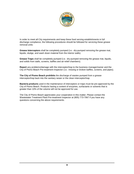

In order to meet all City requirements and keep these food serving establishments in full discharge compliance, the following procedures should be followed for servicing these grease removal units:

**Grease Interceptors** shall be completely pumped (i.e.- dry-pumped removing the grease mat, liquids, sludge, and wash down material from the interior walls).

**Grease Traps** shall be completely pumped (i.e.- dry-pumped removing the grease mat, liquids, and solids from walls, screens, baffles and air-relief chambers).

**Report** any problems/damage with the interceptor/trap to the business manager/owner and the City of Pismo Beach Pre-treatment Inspector (i.e.- missing or broken baffles, screens, and pipes).

**The City of Pismo Beach prohibits** the discharge of wastes pumped from a grease interceptor/trap back into the sanitary sewer or the clean interceptor/trap.

**Bacteria products** used in the maintenance of interceptors or traps must be pre-approved by the City of Pismo Beach. Products having a content of enzymes, surfactants or solvents that is greater than 10% of the volume will not be approved for use.

The City of Pismo Beach appreciates your cooperation in this matter. Please contact the Wastewater Treatment Plant Pre-treatment Inspector at (805) 773-7067 if you have any questions concerning the above requirements.